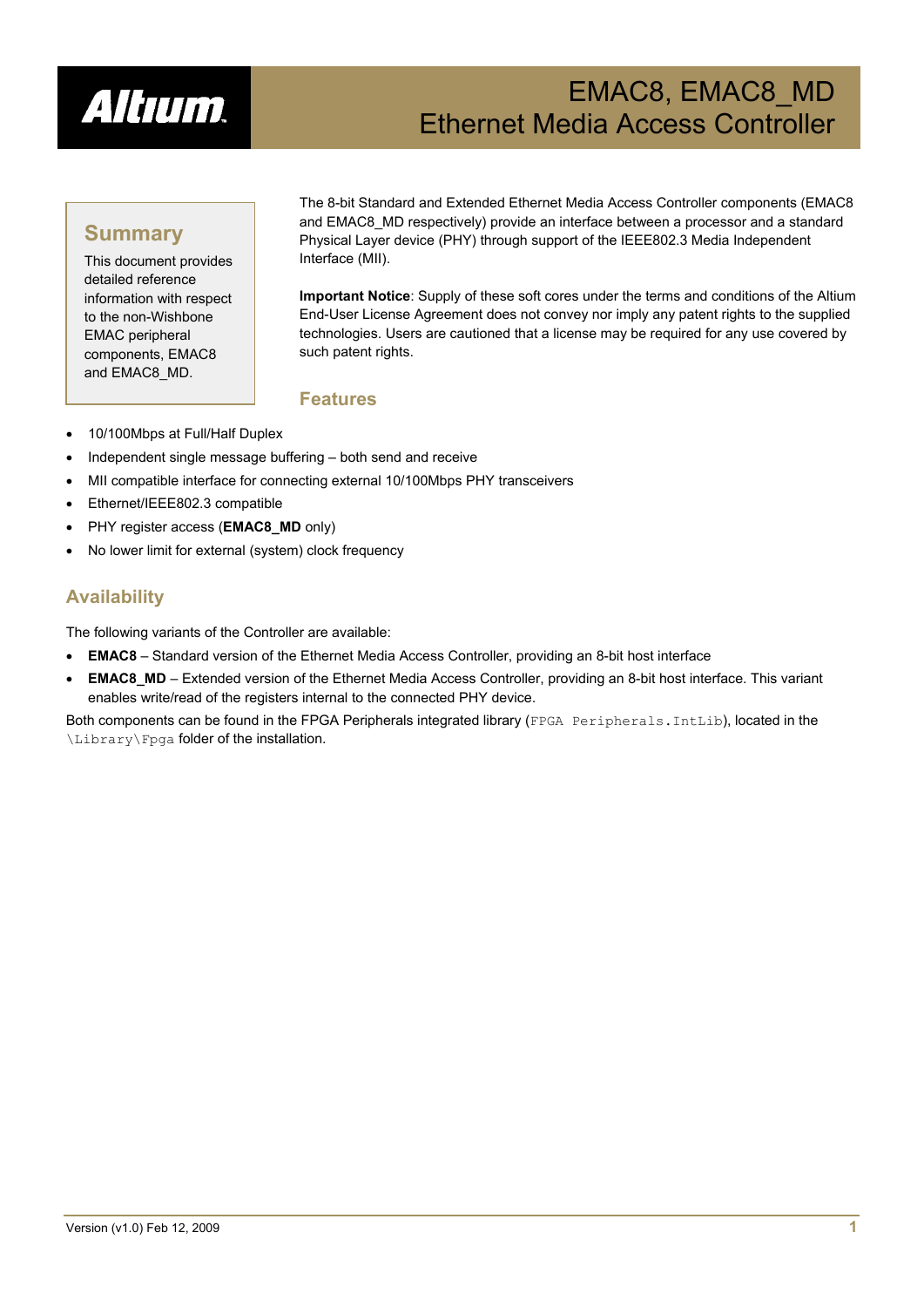

# EMAC8, EMAC8\_MD Ethernet Media Access Controller

# **Summary**

This document provides detailed reference information with respect to the non-Wishbone EMAC peripheral components, EMAC8 and EMAC8\_MD.

The 8-bit Standard and Extended Ethernet Media Access Controller components (EMAC8 and EMAC8\_MD respectively) provide an interface between a processor and a standard Physical Layer device (PHY) through support of the IEEE802.3 Media Independent Interface (MII).

**Important Notice**: Supply of these soft cores under the terms and conditions of the Altium End-User License Agreement does not convey nor imply any patent rights to the supplied technologies. Users are cautioned that a license may be required for any use covered by such patent rights.

### **Features**

- 10/100Mbps at Full/Half Duplex
- Independent single message buffering both send and receive
- MII compatible interface for connecting external 10/100Mbps PHY transceivers
- Ethernet/IEEE802.3 compatible
- PHY register access (**EMAC8\_MD** only)
- No lower limit for external (system) clock frequency

### **Availability**

The following variants of the Controller are available:

- **EMAC8** Standard version of the Ethernet Media Access Controller, providing an 8-bit host interface
- **EMAC8 MD** Extended version of the Ethernet Media Access Controller, providing an 8-bit host interface. This variant enables write/read of the registers internal to the connected PHY device.

Both components can be found in the FPGA Peripherals integrated library (FPGA Peripherals. IntLib), located in the \Library\Fpga folder of the installation.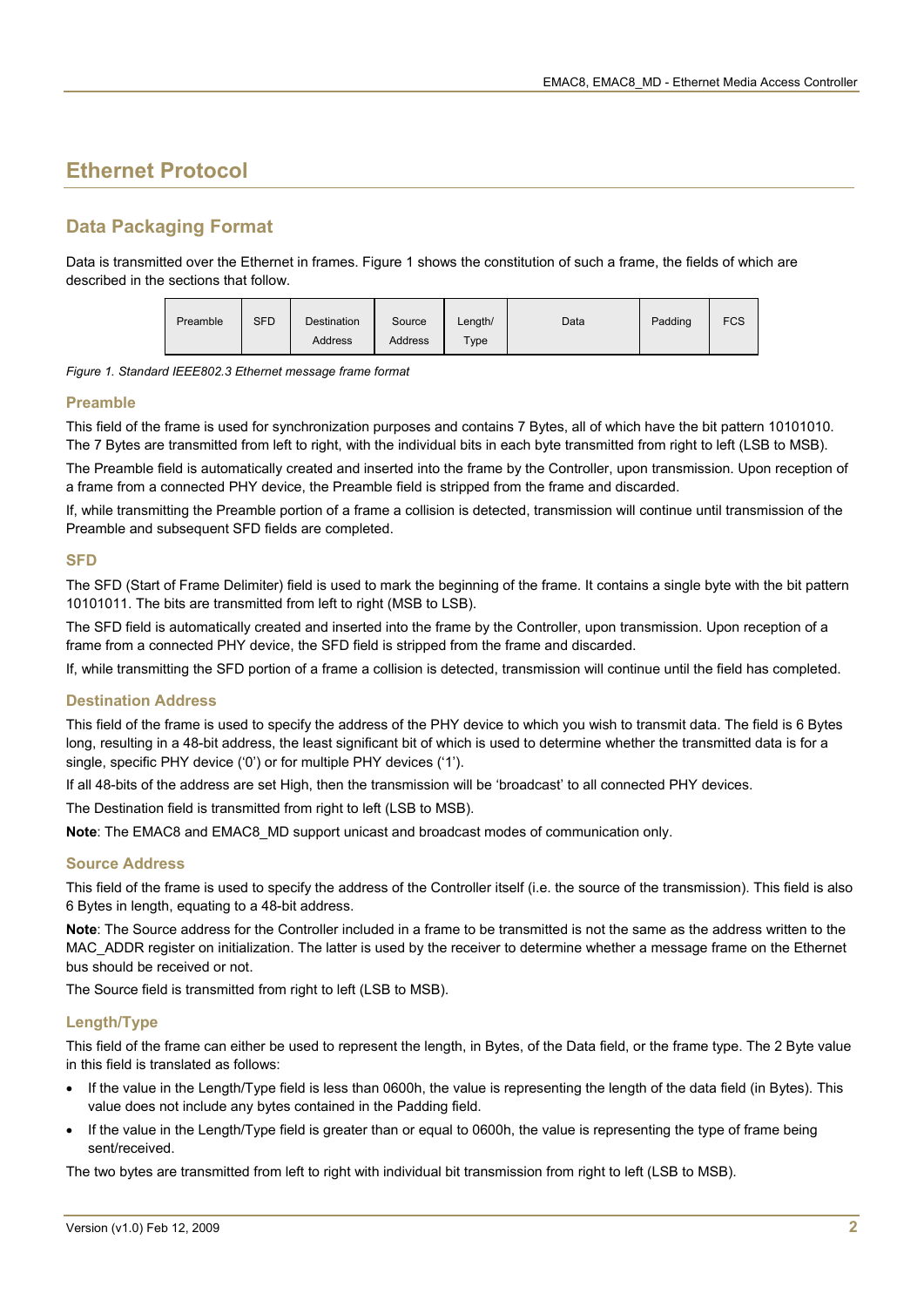# **Ethernet Protocol**

### **Data Packaging Format**

Data is transmitted over the Ethernet in frames. [Figure 1](#page-1-0) shows the constitution of such a frame, the fields of which are described in the sections that follow.



<span id="page-1-0"></span>*Figure 1. Standard IEEE802.3 Ethernet message frame format* 

#### **Preamble**

This field of the frame is used for synchronization purposes and contains 7 Bytes, all of which have the bit pattern 10101010. The 7 Bytes are transmitted from left to right, with the individual bits in each byte transmitted from right to left (LSB to MSB).

The Preamble field is automatically created and inserted into the frame by the Controller, upon transmission. Upon reception of a frame from a connected PHY device, the Preamble field is stripped from the frame and discarded.

If, while transmitting the Preamble portion of a frame a collision is detected, transmission will continue until transmission of the Preamble and subsequent SFD fields are completed.

#### **SFD**

The SFD (Start of Frame Delimiter) field is used to mark the beginning of the frame. It contains a single byte with the bit pattern 10101011. The bits are transmitted from left to right (MSB to LSB).

The SFD field is automatically created and inserted into the frame by the Controller, upon transmission. Upon reception of a frame from a connected PHY device, the SFD field is stripped from the frame and discarded.

If, while transmitting the SFD portion of a frame a collision is detected, transmission will continue until the field has completed.

#### **Destination Address**

This field of the frame is used to specify the address of the PHY device to which you wish to transmit data. The field is 6 Bytes long, resulting in a 48-bit address, the least significant bit of which is used to determine whether the transmitted data is for a single, specific PHY device ('0') or for multiple PHY devices ('1').

If all 48-bits of the address are set High, then the transmission will be 'broadcast' to all connected PHY devices.

The Destination field is transmitted from right to left (LSB to MSB).

**Note**: The EMAC8 and EMAC8\_MD support unicast and broadcast modes of communication only.

#### **Source Address**

This field of the frame is used to specify the address of the Controller itself (i.e. the source of the transmission). This field is also 6 Bytes in length, equating to a 48-bit address.

**Note**: The Source address for the Controller included in a frame to be transmitted is not the same as the address written to the MAC\_ADDR register on initialization. The latter is used by the receiver to determine whether a message frame on the Ethernet bus should be received or not.

The Source field is transmitted from right to left (LSB to MSB).

#### **Length/Type**

This field of the frame can either be used to represent the length, in Bytes, of the Data field, or the frame type. The 2 Byte value in this field is translated as follows:

- If the value in the Length/Type field is less than 0600h, the value is representing the length of the data field (in Bytes). This value does not include any bytes contained in the Padding field.
- If the value in the Length/Type field is greater than or equal to 0600h, the value is representing the type of frame being sent/received.

The two bytes are transmitted from left to right with individual bit transmission from right to left (LSB to MSB).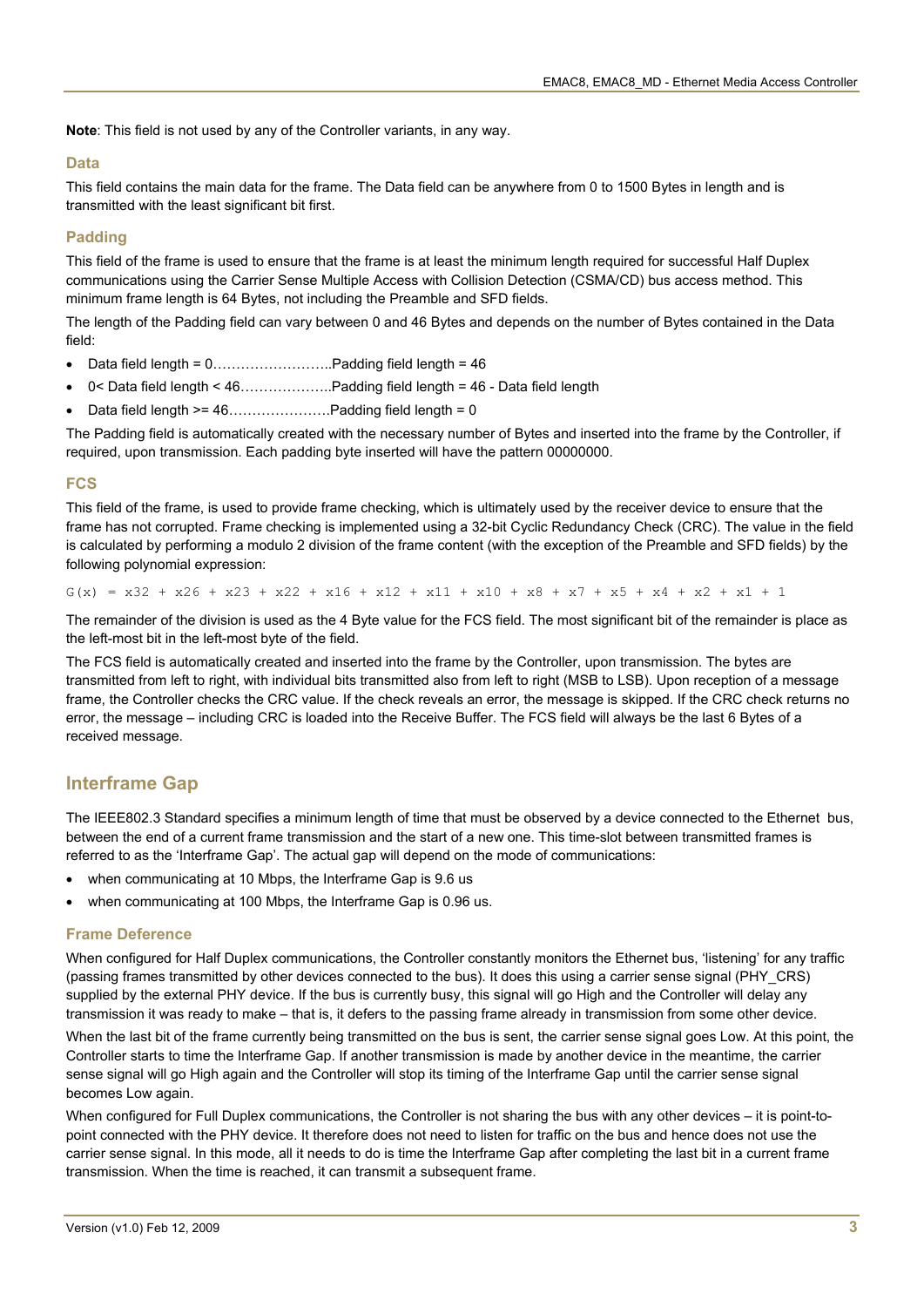**Note**: This field is not used by any of the Controller variants, in any way.

#### **Data**

This field contains the main data for the frame. The Data field can be anywhere from 0 to 1500 Bytes in length and is transmitted with the least significant bit first.

#### **Padding**

This field of the frame is used to ensure that the frame is at least the minimum length required for successful Half Duplex communications using the Carrier Sense Multiple Access with Collision Detection (CSMA/CD) bus access method. This minimum frame length is 64 Bytes, not including the Preamble and SFD fields.

The length of the Padding field can vary between 0 and 46 Bytes and depends on the number of Bytes contained in the Data field:

- Data field length = 0……………………..Padding field length = 46
- 0< Data field length < 46………………..Padding field length = 46 Data field length
- Data field length >= 46………………….Padding field length = 0

The Padding field is automatically created with the necessary number of Bytes and inserted into the frame by the Controller, if required, upon transmission. Each padding byte inserted will have the pattern 00000000.

#### **FCS**

This field of the frame, is used to provide frame checking, which is ultimately used by the receiver device to ensure that the frame has not corrupted. Frame checking is implemented using a 32-bit Cyclic Redundancy Check (CRC). The value in the field is calculated by performing a modulo 2 division of the frame content (with the exception of the Preamble and SFD fields) by the following polynomial expression:

 $G(x) = x32 + x26 + x23 + x22 + x16 + x12 + x11 + x10 + x8 + x7 + x5 + x4 + x2 + x1 + 1$ 

The remainder of the division is used as the 4 Byte value for the FCS field. The most significant bit of the remainder is place as the left-most bit in the left-most byte of the field.

The FCS field is automatically created and inserted into the frame by the Controller, upon transmission. The bytes are transmitted from left to right, with individual bits transmitted also from left to right (MSB to LSB). Upon reception of a message frame, the Controller checks the CRC value. If the check reveals an error, the message is skipped. If the CRC check returns no error, the message – including CRC is loaded into the Receive Buffer. The FCS field will always be the last 6 Bytes of a received message.

#### **Interframe Gap**

The IEEE802.3 Standard specifies a minimum length of time that must be observed by a device connected to the Ethernet bus, between the end of a current frame transmission and the start of a new one. This time-slot between transmitted frames is referred to as the 'Interframe Gap'. The actual gap will depend on the mode of communications:

- when communicating at 10 Mbps, the Interframe Gap is 9.6 us
- when communicating at 100 Mbps, the Interframe Gap is 0.96 us.

#### **Frame Deference**

When configured for Half Duplex communications, the Controller constantly monitors the Ethernet bus, 'listening' for any traffic (passing frames transmitted by other devices connected to the bus). It does this using a carrier sense signal (PHY\_CRS) supplied by the external PHY device. If the bus is currently busy, this signal will go High and the Controller will delay any transmission it was ready to make – that is, it defers to the passing frame already in transmission from some other device.

When the last bit of the frame currently being transmitted on the bus is sent, the carrier sense signal goes Low. At this point, the Controller starts to time the Interframe Gap. If another transmission is made by another device in the meantime, the carrier sense signal will go High again and the Controller will stop its timing of the Interframe Gap until the carrier sense signal becomes Low again.

When configured for Full Duplex communications, the Controller is not sharing the bus with any other devices – it is point-topoint connected with the PHY device. It therefore does not need to listen for traffic on the bus and hence does not use the carrier sense signal. In this mode, all it needs to do is time the Interframe Gap after completing the last bit in a current frame transmission. When the time is reached, it can transmit a subsequent frame.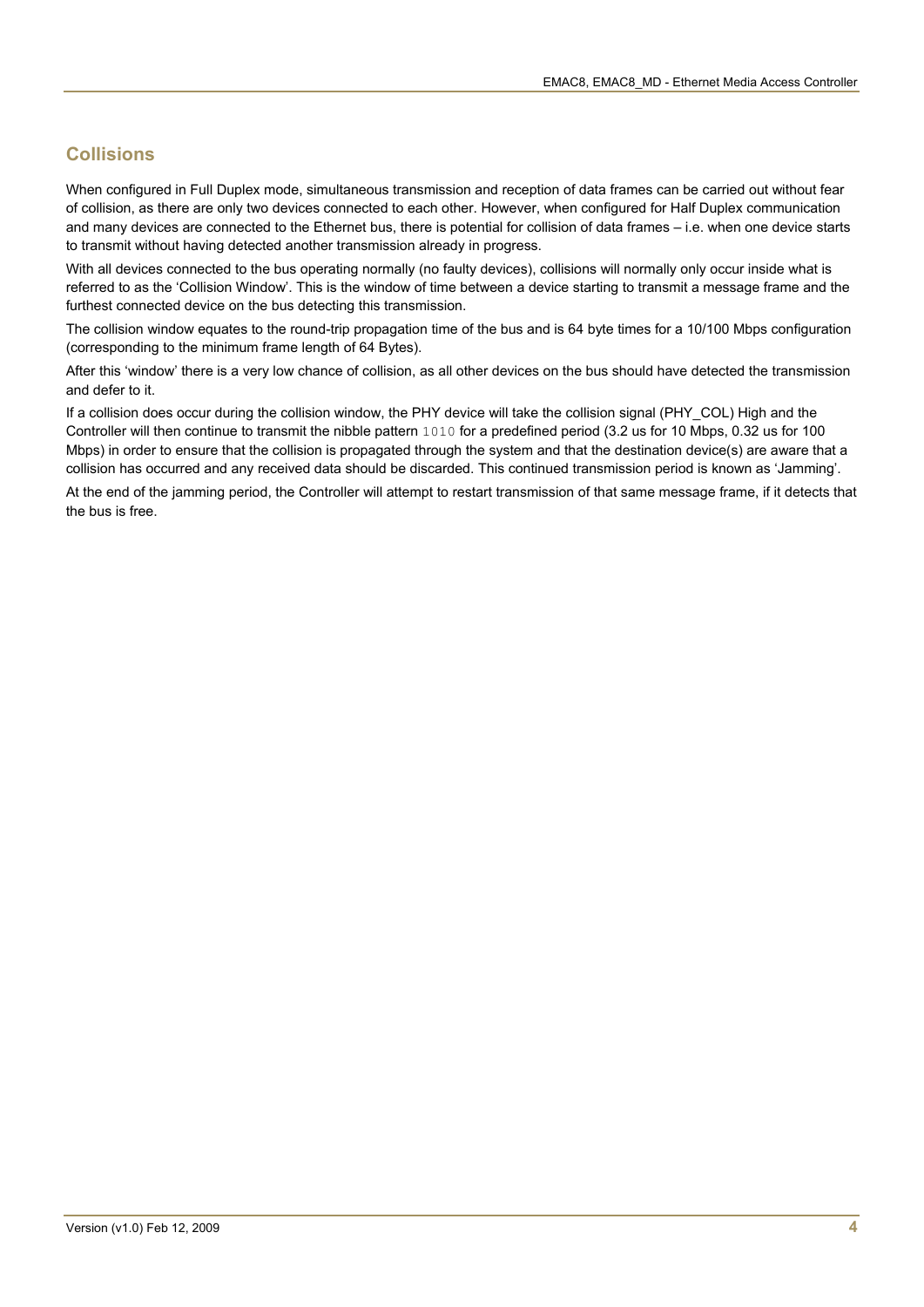### **Collisions**

When configured in Full Duplex mode, simultaneous transmission and reception of data frames can be carried out without fear of collision, as there are only two devices connected to each other. However, when configured for Half Duplex communication and many devices are connected to the Ethernet bus, there is potential for collision of data frames – i.e. when one device starts to transmit without having detected another transmission already in progress.

With all devices connected to the bus operating normally (no faulty devices), collisions will normally only occur inside what is referred to as the 'Collision Window'. This is the window of time between a device starting to transmit a message frame and the furthest connected device on the bus detecting this transmission.

The collision window equates to the round-trip propagation time of the bus and is 64 byte times for a 10/100 Mbps configuration (corresponding to the minimum frame length of 64 Bytes).

After this 'window' there is a very low chance of collision, as all other devices on the bus should have detected the transmission and defer to it.

If a collision does occur during the collision window, the PHY device will take the collision signal (PHY\_COL) High and the Controller will then continue to transmit the nibble pattern 1010 for a predefined period (3.2 us for 10 Mbps, 0.32 us for 100 Mbps) in order to ensure that the collision is propagated through the system and that the destination device(s) are aware that a collision has occurred and any received data should be discarded. This continued transmission period is known as 'Jamming'.

At the end of the jamming period, the Controller will attempt to restart transmission of that same message frame, if it detects that the bus is free.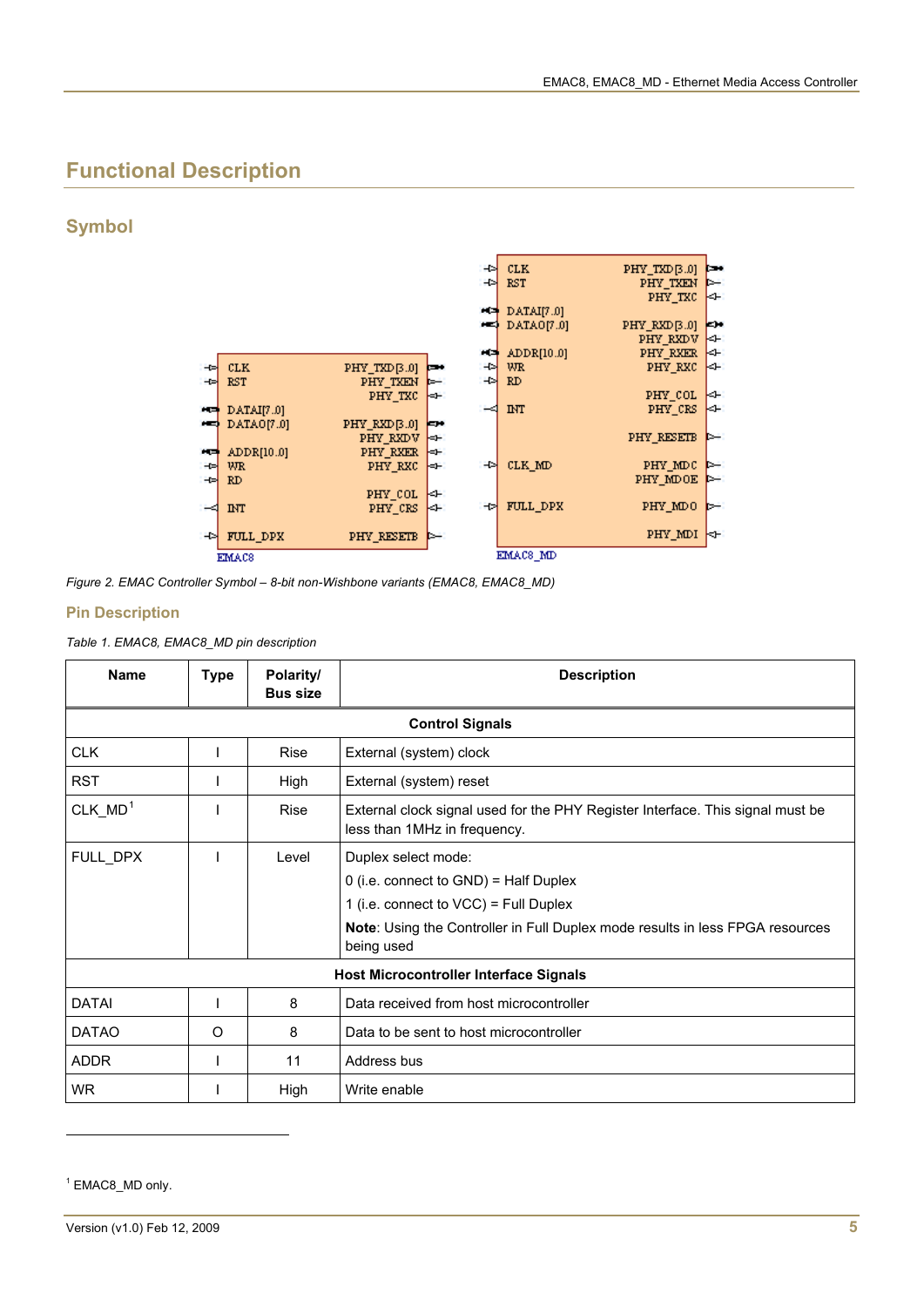# **Functional Description**

### **Symbol**



*Figure 2. EMAC Controller Symbol – 8-bit non-Wishbone variants (EMAC8, EMAC8\_MD)* 

#### **Pin Description**

*Table 1. EMAC8, EMAC8\_MD pin description* 

| <b>Name</b>  | <b>Type</b> | Polarity/<br><b>Bus size</b> | <b>Description</b>                                                                                                                                                                                            |  |  |
|--------------|-------------|------------------------------|---------------------------------------------------------------------------------------------------------------------------------------------------------------------------------------------------------------|--|--|
|              |             |                              | <b>Control Signals</b>                                                                                                                                                                                        |  |  |
| <b>CLK</b>   |             | Rise                         | External (system) clock                                                                                                                                                                                       |  |  |
| <b>RST</b>   |             | High                         | External (system) reset                                                                                                                                                                                       |  |  |
| $CLK_MD^1$   |             | Rise                         | External clock signal used for the PHY Register Interface. This signal must be<br>less than 1MHz in frequency.                                                                                                |  |  |
| FULL_DPX     |             | Level                        | Duplex select mode:<br>$0$ (i.e. connect to GND) = Half Duplex<br>1 (i.e. connect to VCC) = Full Duplex<br><b>Note: Using the Controller in Full Duplex mode results in less FPGA resources</b><br>being used |  |  |
|              |             |                              | <b>Host Microcontroller Interface Signals</b>                                                                                                                                                                 |  |  |
| <b>DATAI</b> |             | 8                            | Data received from host microcontroller                                                                                                                                                                       |  |  |
| <b>DATAO</b> | O           | 8                            | Data to be sent to host microcontroller                                                                                                                                                                       |  |  |
| <b>ADDR</b>  |             | 11                           | Address bus                                                                                                                                                                                                   |  |  |
| <b>WR</b>    |             | High                         | Write enable                                                                                                                                                                                                  |  |  |

<span id="page-4-0"></span><sup>1</sup> EMAC8\_MD only.

l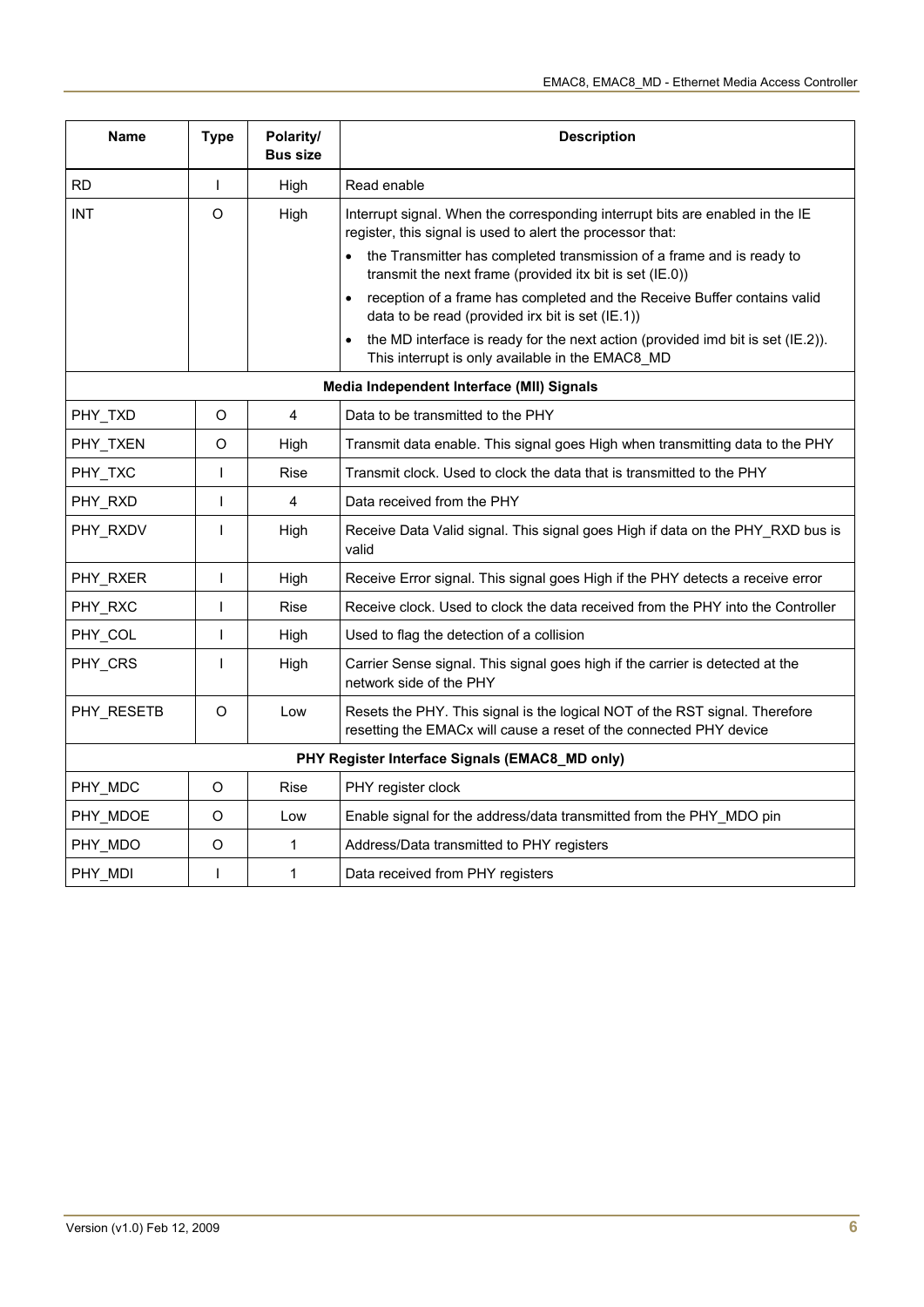| Name       | <b>Type</b>  | Polarity/<br><b>Bus size</b> | <b>Description</b>                                                                                                                                |  |  |
|------------|--------------|------------------------------|---------------------------------------------------------------------------------------------------------------------------------------------------|--|--|
| <b>RD</b>  | T            | High                         | Read enable                                                                                                                                       |  |  |
| <b>INT</b> | O            | High                         | Interrupt signal. When the corresponding interrupt bits are enabled in the IE<br>register, this signal is used to alert the processor that:       |  |  |
|            |              |                              | the Transmitter has completed transmission of a frame and is ready to<br>transmit the next frame (provided itx bit is set (IE.0))                 |  |  |
|            |              |                              | reception of a frame has completed and the Receive Buffer contains valid<br>data to be read (provided irx bit is set (IE.1))                      |  |  |
|            |              |                              | the MD interface is ready for the next action (provided imd bit is set (IE.2)).<br>This interrupt is only available in the EMAC8_MD               |  |  |
|            |              |                              | Media Independent Interface (MII) Signals                                                                                                         |  |  |
| PHY_TXD    | O            | 4                            | Data to be transmitted to the PHY                                                                                                                 |  |  |
| PHY_TXEN   | O            | High                         | Transmit data enable. This signal goes High when transmitting data to the PHY                                                                     |  |  |
| PHY_TXC    | $\mathbf{I}$ | <b>Rise</b>                  | Transmit clock. Used to clock the data that is transmitted to the PHY                                                                             |  |  |
| PHY_RXD    | T            | 4                            | Data received from the PHY                                                                                                                        |  |  |
| PHY_RXDV   | L            | High                         | Receive Data Valid signal. This signal goes High if data on the PHY_RXD bus is<br>valid                                                           |  |  |
| PHY_RXER   | ı            | High                         | Receive Error signal. This signal goes High if the PHY detects a receive error                                                                    |  |  |
| PHY_RXC    | T            | Rise                         | Receive clock. Used to clock the data received from the PHY into the Controller                                                                   |  |  |
| PHY_COL    | T            | High                         | Used to flag the detection of a collision                                                                                                         |  |  |
| PHY_CRS    | I            | High                         | Carrier Sense signal. This signal goes high if the carrier is detected at the<br>network side of the PHY                                          |  |  |
| PHY_RESETB | O            | Low                          | Resets the PHY. This signal is the logical NOT of the RST signal. Therefore<br>resetting the EMACx will cause a reset of the connected PHY device |  |  |
|            |              |                              | PHY Register Interface Signals (EMAC8_MD only)                                                                                                    |  |  |
| PHY_MDC    | O            | <b>Rise</b>                  | PHY register clock                                                                                                                                |  |  |
| PHY_MDOE   | O            | Low                          | Enable signal for the address/data transmitted from the PHY_MDO pin                                                                               |  |  |
| PHY_MDO    | O            | 1                            | Address/Data transmitted to PHY registers                                                                                                         |  |  |
| PHY MDI    | ı            | $\mathbf{1}$                 | Data received from PHY registers                                                                                                                  |  |  |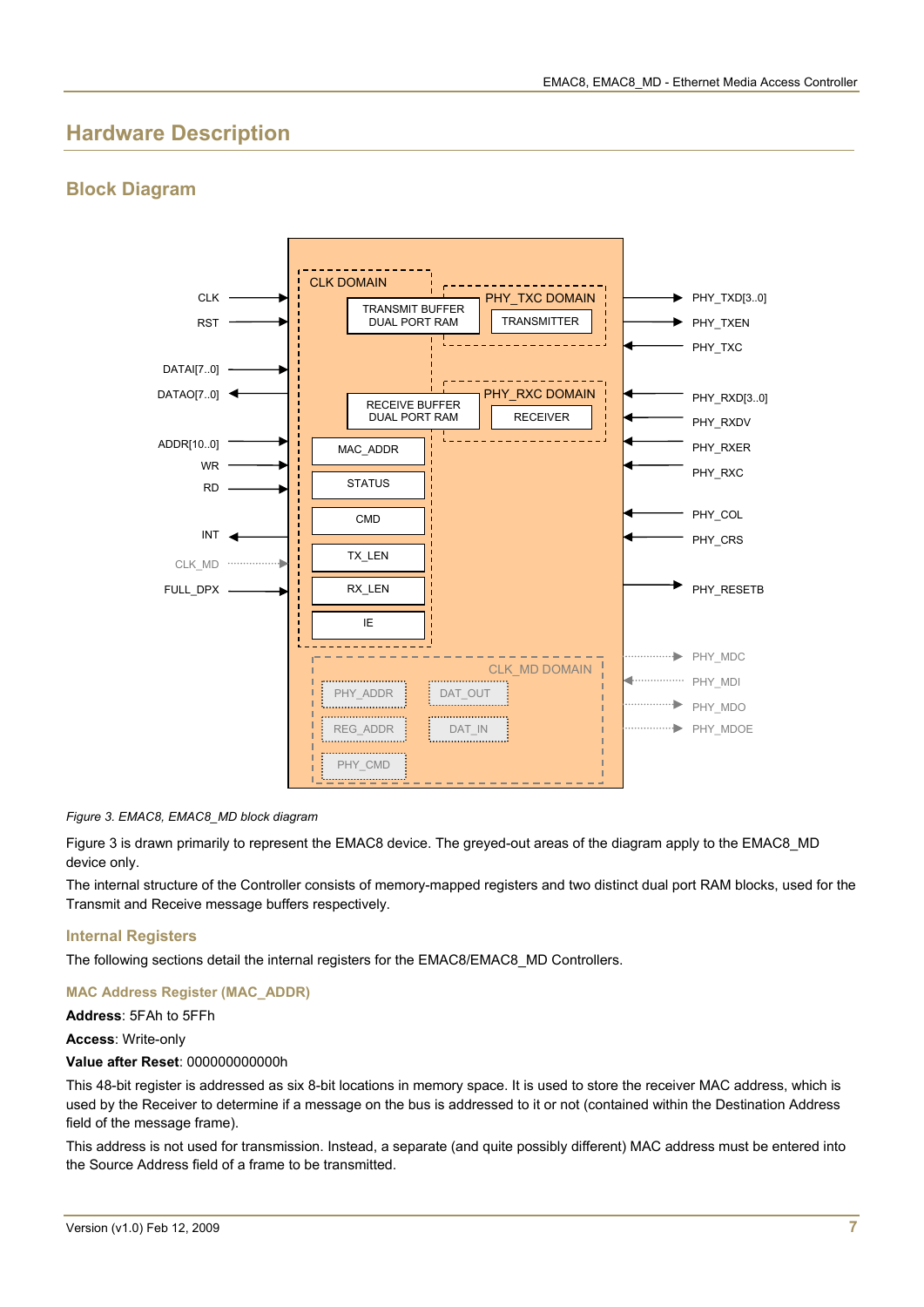## **Hardware Description**

### **Block Diagram**



#### <span id="page-6-0"></span>*Figure 3. EMAC8, EMAC8\_MD block diagram*

[Figure 3](#page-6-0) is drawn primarily to represent the EMAC8 device. The greyed-out areas of the diagram apply to the EMAC8\_MD device only.

The internal structure of the Controller consists of memory-mapped registers and two distinct dual port RAM blocks, used for the Transmit and Receive message buffers respectively.

#### **Internal Registers**

The following sections detail the internal registers for the EMAC8/EMAC8\_MD Controllers.

#### **MAC Address Register (MAC\_ADDR)**

**Address**: 5FAh to 5FFh

#### **Access**: Write-only

#### **Value after Reset**: 000000000000h

This 48-bit register is addressed as six 8-bit locations in memory space. It is used to store the receiver MAC address, which is used by the Receiver to determine if a message on the bus is addressed to it or not (contained within the Destination Address field of the message frame).

This address is not used for transmission. Instead, a separate (and quite possibly different) MAC address must be entered into the Source Address field of a frame to be transmitted.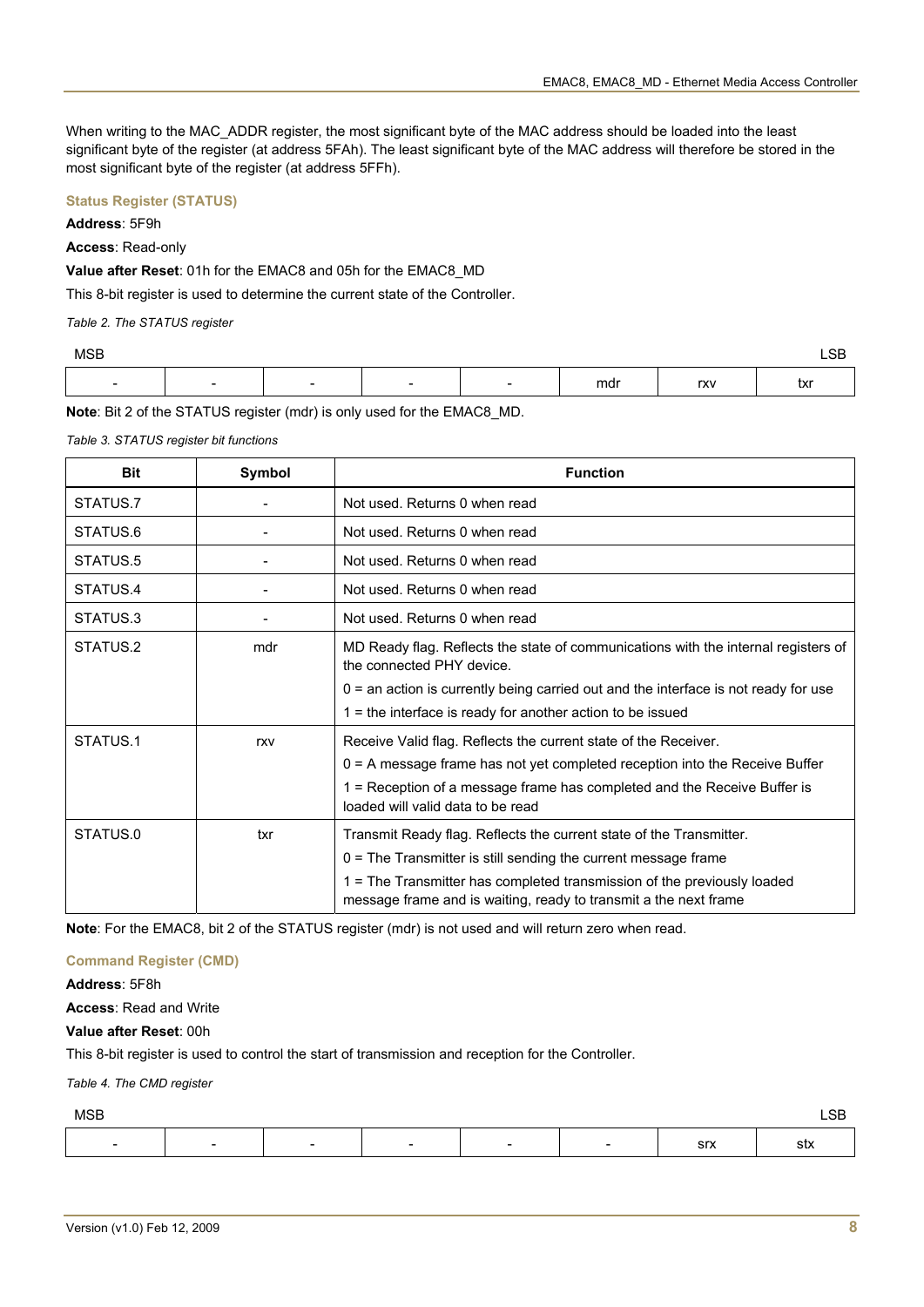When writing to the MAC\_ADDR register, the most significant byte of the MAC address should be loaded into the least significant byte of the register (at address 5FAh). The least significant byte of the MAC address will therefore be stored in the most significant byte of the register (at address 5FFh).

#### **Status Register (STATUS)**

#### **Address**: 5F9h

**Access**: Read-only

**Value after Reset**: 01h for the EMAC8 and 05h for the EMAC8\_MD

This 8-bit register is used to determine the current state of the Controller.

*Table 2. The STATUS register* 

| MSB                      |  |                          |     |     | CD.<br>LOD |
|--------------------------|--|--------------------------|-----|-----|------------|
| $\overline{\phantom{0}}$ |  | $\overline{\phantom{0}}$ | mdr | rxv | txr        |

**Note**: Bit 2 of the STATUS register (mdr) is only used for the EMAC8\_MD.

*Table 3. STATUS register bit functions* 

| <b>Bit</b> | Symbol | <b>Function</b>                                                                                                                             |  |  |  |
|------------|--------|---------------------------------------------------------------------------------------------------------------------------------------------|--|--|--|
| STATUS.7   |        | Not used. Returns 0 when read                                                                                                               |  |  |  |
| STATUS.6   |        | Not used. Returns 0 when read                                                                                                               |  |  |  |
| STATUS.5   |        | Not used. Returns 0 when read                                                                                                               |  |  |  |
| STATUS.4   |        | Not used. Returns 0 when read                                                                                                               |  |  |  |
| STATUS.3   |        | Not used. Returns 0 when read                                                                                                               |  |  |  |
| STATUS.2   | mdr    | MD Ready flag. Reflects the state of communications with the internal registers of<br>the connected PHY device.                             |  |  |  |
|            |        | $0 =$ an action is currently being carried out and the interface is not ready for use                                                       |  |  |  |
|            |        | $1 =$ the interface is ready for another action to be issued                                                                                |  |  |  |
| STATUS.1   | rxv    | Receive Valid flag. Reflects the current state of the Receiver.                                                                             |  |  |  |
|            |        | 0 = A message frame has not yet completed reception into the Receive Buffer                                                                 |  |  |  |
|            |        | 1 = Reception of a message frame has completed and the Receive Buffer is<br>loaded will valid data to be read                               |  |  |  |
| STATUS.0   | txr    | Transmit Ready flag. Reflects the current state of the Transmitter.                                                                         |  |  |  |
|            |        | $0 =$ The Transmitter is still sending the current message frame                                                                            |  |  |  |
|            |        | 1 = The Transmitter has completed transmission of the previously loaded<br>message frame and is waiting, ready to transmit a the next frame |  |  |  |

**Note**: For the EMAC8, bit 2 of the STATUS register (mdr) is not used and will return zero when read.

#### **Command Register (CMD)**

**Address**: 5F8h

**Access**: Read and Write

#### **Value after Reset**: 00h

This 8-bit register is used to control the start of transmission and reception for the Controller.

#### *Table 4. The CMD register*

| <b>MSB</b> |                          |   |                          |                          |                          |            | $\mathsf{LSB}$ |
|------------|--------------------------|---|--------------------------|--------------------------|--------------------------|------------|----------------|
| -          | $\overline{\phantom{0}}$ | - | $\overline{\phantom{0}}$ | $\overline{\phantom{a}}$ | $\overline{\phantom{0}}$ | <b>Srx</b> | stx            |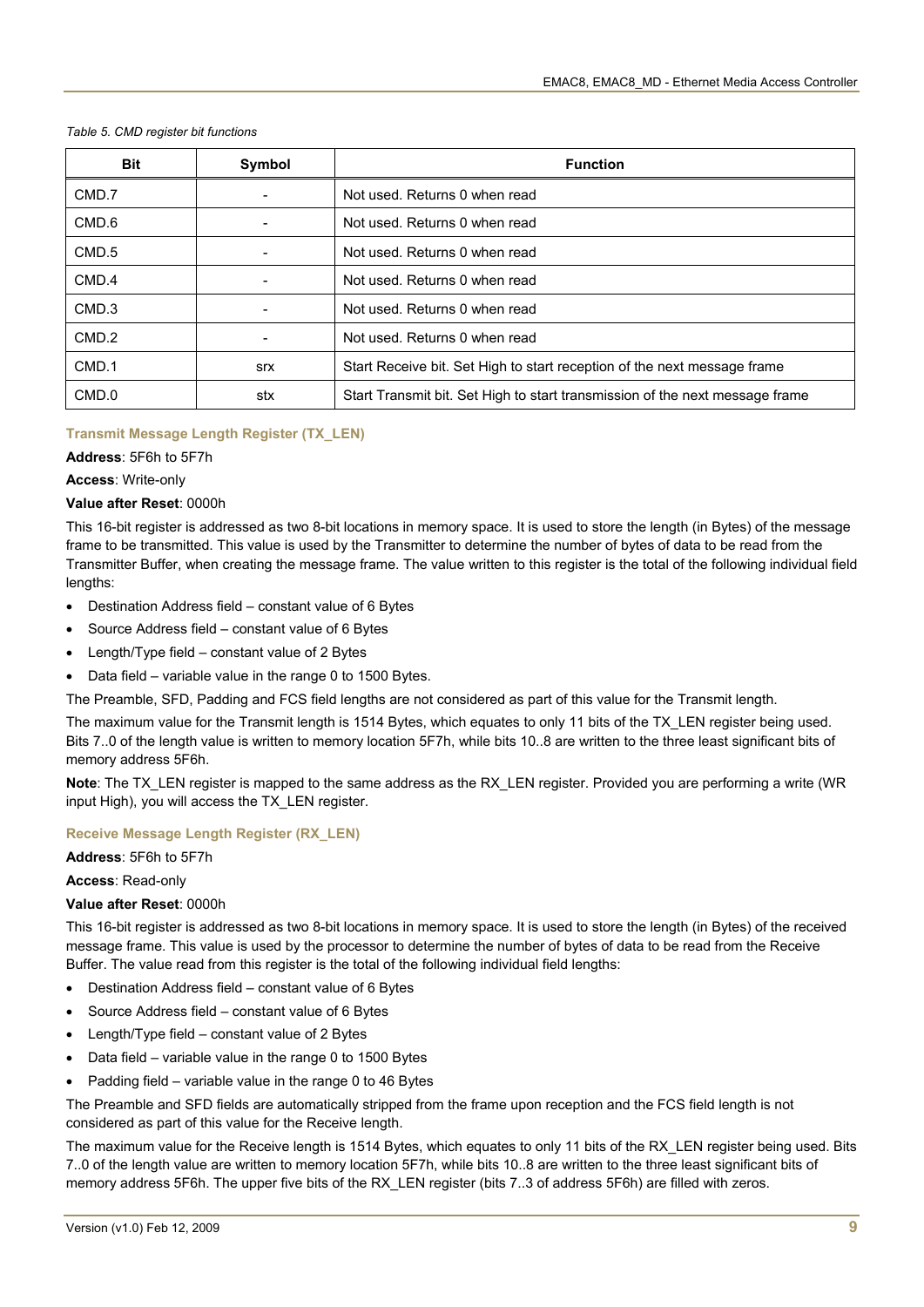| <b>Bit</b> | Symbol     | <b>Function</b>                                                              |
|------------|------------|------------------------------------------------------------------------------|
| CMD.7      |            | Not used. Returns 0 when read                                                |
| CMD.6      | -          | Not used. Returns 0 when read                                                |
| CMD.5      |            | Not used. Returns 0 when read                                                |
| CMD.4      |            | Not used. Returns 0 when read                                                |
| CMD.3      |            | Not used. Returns 0 when read                                                |
| CMD.2      |            | Not used. Returns 0 when read                                                |
| CMD.1      | <b>Srx</b> | Start Receive bit. Set High to start reception of the next message frame     |
| CMD.0      | stx        | Start Transmit bit. Set High to start transmission of the next message frame |

#### *Table 5. CMD register bit functions*

#### **Transmit Message Length Register (TX\_LEN)**

**Address**: 5F6h to 5F7h

**Access**: Write-only

#### **Value after Reset**: 0000h

This 16-bit register is addressed as two 8-bit locations in memory space. It is used to store the length (in Bytes) of the message frame to be transmitted. This value is used by the Transmitter to determine the number of bytes of data to be read from the Transmitter Buffer, when creating the message frame. The value written to this register is the total of the following individual field lengths:

- Destination Address field constant value of 6 Bytes
- Source Address field constant value of 6 Bytes
- Length/Type field constant value of 2 Bytes
- Data field variable value in the range 0 to 1500 Bytes.

The Preamble, SFD, Padding and FCS field lengths are not considered as part of this value for the Transmit length.

The maximum value for the Transmit length is 1514 Bytes, which equates to only 11 bits of the TX\_LEN register being used. Bits 7..0 of the length value is written to memory location 5F7h, while bits 10..8 are written to the three least significant bits of memory address 5F6h.

**Note**: The TX\_LEN register is mapped to the same address as the RX\_LEN register. Provided you are performing a write (WR input High), you will access the TX\_LEN register.

#### **Receive Message Length Register (RX\_LEN)**

**Address**: 5F6h to 5F7h

**Access**: Read-only

#### **Value after Reset**: 0000h

This 16-bit register is addressed as two 8-bit locations in memory space. It is used to store the length (in Bytes) of the received message frame. This value is used by the processor to determine the number of bytes of data to be read from the Receive Buffer. The value read from this register is the total of the following individual field lengths:

- Destination Address field constant value of 6 Bytes
- Source Address field constant value of 6 Bytes
- Length/Type field constant value of 2 Bytes
- Data field variable value in the range 0 to 1500 Bytes
- Padding field variable value in the range 0 to 46 Bytes

The Preamble and SFD fields are automatically stripped from the frame upon reception and the FCS field length is not considered as part of this value for the Receive length.

The maximum value for the Receive length is 1514 Bytes, which equates to only 11 bits of the RX\_LEN register being used. Bits 7..0 of the length value are written to memory location 5F7h, while bits 10..8 are written to the three least significant bits of memory address 5F6h. The upper five bits of the RX\_LEN register (bits 7..3 of address 5F6h) are filled with zeros.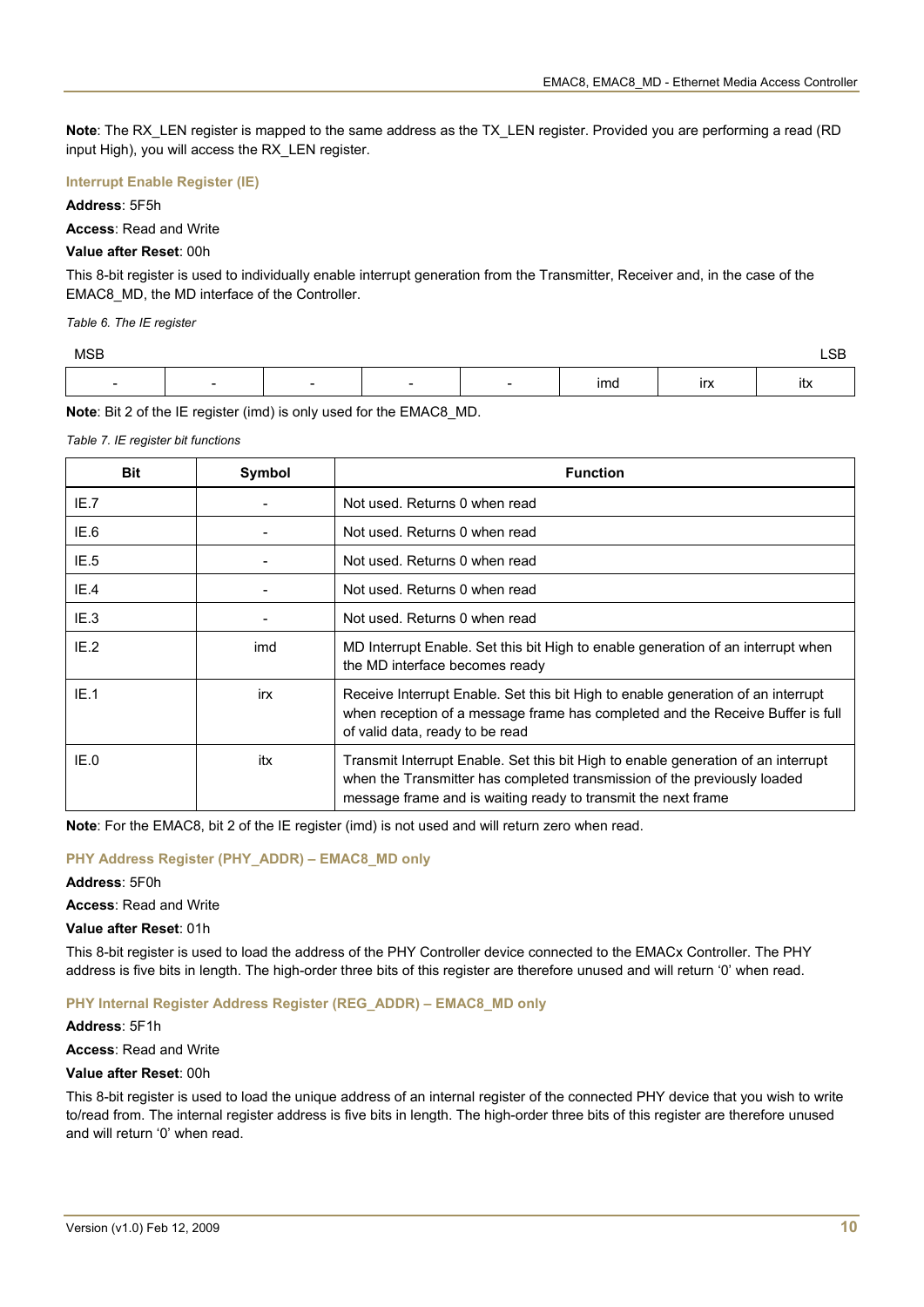**Note**: The RX\_LEN register is mapped to the same address as the TX\_LEN register. Provided you are performing a read (RD input High), you will access the RX\_LEN register.

#### **Interrupt Enable Register (IE)**

#### **Address**: 5F5h

**Access**: Read and Write

#### **Value after Reset**: 00h

This 8-bit register is used to individually enable interrupt generation from the Transmitter, Receiver and, in the case of the EMAC8\_MD, the MD interface of the Controller.

*Table 6. The IE register* 

| MSB                      |   |                          |                          |     |                   | חר<br>∟ט<br>___ |
|--------------------------|---|--------------------------|--------------------------|-----|-------------------|-----------------|
| $\overline{\phantom{0}}$ | - | $\overline{\phantom{a}}$ | $\overline{\phantom{a}}$ | ımd | - ---<br>$\cdots$ | $\cdot$<br>Itx  |

**Note**: Bit 2 of the IE register (imd) is only used for the EMAC8\_MD.

*Table 7. IE register bit functions* 

| <b>Bit</b> | Symbol | <b>Function</b>                                                                                                                                                                                                                |  |  |  |
|------------|--------|--------------------------------------------------------------------------------------------------------------------------------------------------------------------------------------------------------------------------------|--|--|--|
| IE.7       |        | Not used. Returns 0 when read                                                                                                                                                                                                  |  |  |  |
| IE.6       |        | Not used. Returns 0 when read                                                                                                                                                                                                  |  |  |  |
| IE.5       |        | Not used. Returns 0 when read                                                                                                                                                                                                  |  |  |  |
| IE.4       |        | Not used. Returns 0 when read                                                                                                                                                                                                  |  |  |  |
| IE.3       |        | Not used. Returns 0 when read                                                                                                                                                                                                  |  |  |  |
| IE.2       | imd    | MD Interrupt Enable. Set this bit High to enable generation of an interrupt when<br>the MD interface becomes ready                                                                                                             |  |  |  |
| IE.1       | irx    | Receive Interrupt Enable. Set this bit High to enable generation of an interrupt<br>when reception of a message frame has completed and the Receive Buffer is full<br>of valid data, ready to be read                          |  |  |  |
| IE.0       | itx    | Transmit Interrupt Enable. Set this bit High to enable generation of an interrupt<br>when the Transmitter has completed transmission of the previously loaded<br>message frame and is waiting ready to transmit the next frame |  |  |  |

**Note**: For the EMAC8, bit 2 of the IE register (imd) is not used and will return zero when read.

#### **PHY Address Register (PHY\_ADDR) – EMAC8\_MD only**

**Address**: 5F0h

**Access**: Read and Write

**Value after Reset**: 01h

This 8-bit register is used to load the address of the PHY Controller device connected to the EMACx Controller. The PHY address is five bits in length. The high-order three bits of this register are therefore unused and will return '0' when read.

#### **PHY Internal Register Address Register (REG\_ADDR) – EMAC8\_MD only**

#### **Address**: 5F1h

**Access**: Read and Write

#### **Value after Reset**: 00h

This 8-bit register is used to load the unique address of an internal register of the connected PHY device that you wish to write to/read from. The internal register address is five bits in length. The high-order three bits of this register are therefore unused and will return '0' when read.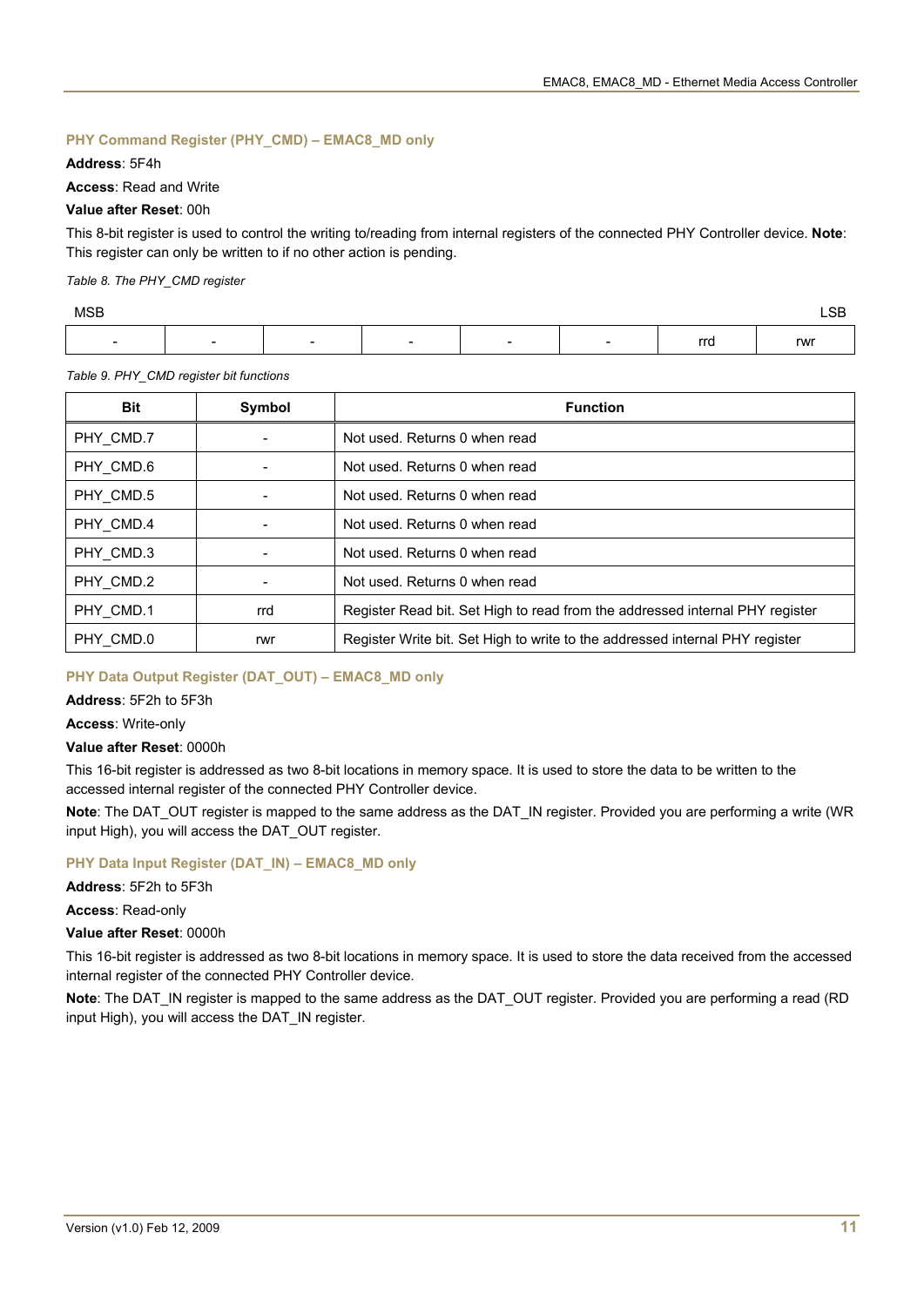### **PHY Command Register (PHY\_CMD) – EMAC8\_MD only**

#### **Address**: 5F4h

#### **Access**: Read and Write

#### **Value after Reset**: 00h

This 8-bit register is used to control the writing to/reading from internal registers of the connected PHY Controller device. **Note**: This register can only be written to if no other action is pending.

*Table 8. The PHY\_CMD register* 

| <b>MSB</b>               |   |                          |                          |                          |                          |     | $\sim$<br>∟ບ⊔<br>--- |
|--------------------------|---|--------------------------|--------------------------|--------------------------|--------------------------|-----|----------------------|
| $\overline{\phantom{0}}$ | - | $\overline{\phantom{0}}$ | $\overline{\phantom{a}}$ | $\overline{\phantom{a}}$ | $\overline{\phantom{a}}$ | rrd | rwr                  |

*Table 9. PHY\_CMD register bit functions* 

| <b>Bit</b> | Symbol | <b>Function</b>                                                              |
|------------|--------|------------------------------------------------------------------------------|
| PHY_CMD.7  |        | Not used. Returns 0 when read                                                |
| PHY_CMD.6  |        | Not used. Returns 0 when read                                                |
| PHY_CMD.5  |        | Not used. Returns 0 when read                                                |
| PHY CMD.4  |        | Not used. Returns 0 when read                                                |
| PHY_CMD.3  |        | Not used. Returns 0 when read                                                |
| PHY_CMD.2  |        | Not used. Returns 0 when read                                                |
| PHY CMD.1  | rrd    | Register Read bit. Set High to read from the addressed internal PHY register |
| PHY CMD.0  | rwr    | Register Write bit. Set High to write to the addressed internal PHY register |

#### **PHY Data Output Register (DAT\_OUT) – EMAC8\_MD only**

#### **Address**: 5F2h to 5F3h

#### **Access**: Write-only

#### **Value after Reset**: 0000h

This 16-bit register is addressed as two 8-bit locations in memory space. It is used to store the data to be written to the accessed internal register of the connected PHY Controller device.

**Note**: The DAT\_OUT register is mapped to the same address as the DAT\_IN register. Provided you are performing a write (WR input High), you will access the DAT\_OUT register.

#### **PHY Data Input Register (DAT\_IN) – EMAC8\_MD only**

**Address**: 5F2h to 5F3h

**Access**: Read-only

#### **Value after Reset**: 0000h

This 16-bit register is addressed as two 8-bit locations in memory space. It is used to store the data received from the accessed internal register of the connected PHY Controller device.

**Note**: The DAT\_IN register is mapped to the same address as the DAT\_OUT register. Provided you are performing a read (RD input High), you will access the DAT\_IN register.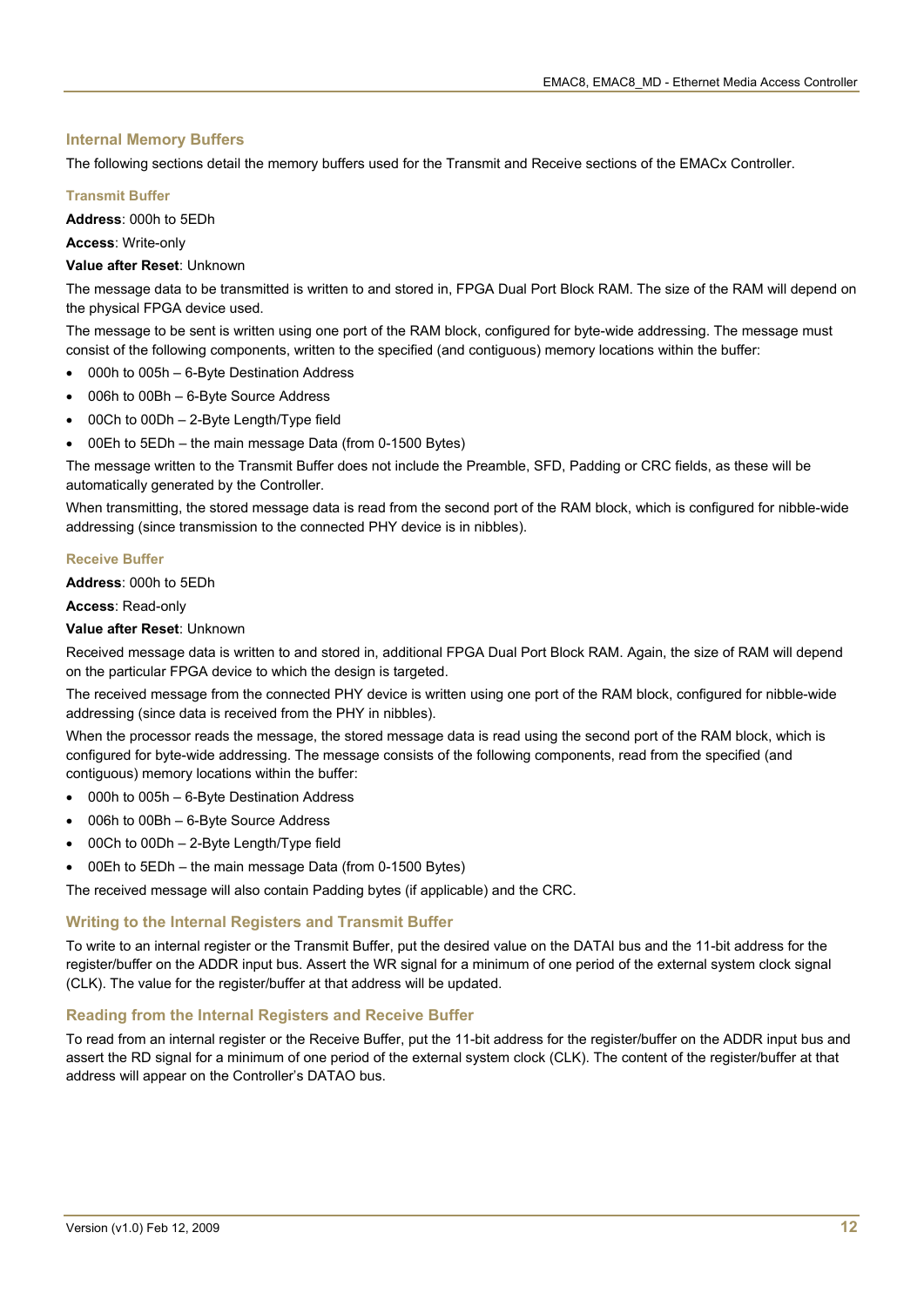#### **Internal Memory Buffers**

The following sections detail the memory buffers used for the Transmit and Receive sections of the EMACx Controller.

#### **Transmit Buffer**

**Address**: 000h to 5EDh

**Access**: Write-only

**Value after Reset**: Unknown

The message data to be transmitted is written to and stored in, FPGA Dual Port Block RAM. The size of the RAM will depend on the physical FPGA device used.

The message to be sent is written using one port of the RAM block, configured for byte-wide addressing. The message must consist of the following components, written to the specified (and contiguous) memory locations within the buffer:

- 000h to 005h 6-Byte Destination Address
- 006h to 00Bh 6-Byte Source Address
- 00Ch to 00Dh 2-Byte Length/Type field
- 00Eh to 5EDh the main message Data (from 0-1500 Bytes)

The message written to the Transmit Buffer does not include the Preamble, SFD, Padding or CRC fields, as these will be automatically generated by the Controller.

When transmitting, the stored message data is read from the second port of the RAM block, which is configured for nibble-wide addressing (since transmission to the connected PHY device is in nibbles).

#### **Receive Buffer**

**Address**: 000h to 5EDh

#### **Access**: Read-only

**Value after Reset**: Unknown

Received message data is written to and stored in, additional FPGA Dual Port Block RAM. Again, the size of RAM will depend on the particular FPGA device to which the design is targeted.

The received message from the connected PHY device is written using one port of the RAM block, configured for nibble-wide addressing (since data is received from the PHY in nibbles).

When the processor reads the message, the stored message data is read using the second port of the RAM block, which is configured for byte-wide addressing. The message consists of the following components, read from the specified (and contiguous) memory locations within the buffer:

- 000h to 005h 6-Byte Destination Address
- 006h to 00Bh 6-Byte Source Address
- 00Ch to 00Dh 2-Byte Length/Type field
- 00Eh to 5EDh the main message Data (from 0-1500 Bytes)

The received message will also contain Padding bytes (if applicable) and the CRC.

#### **Writing to the Internal Registers and Transmit Buffer**

To write to an internal register or the Transmit Buffer, put the desired value on the DATAI bus and the 11-bit address for the register/buffer on the ADDR input bus. Assert the WR signal for a minimum of one period of the external system clock signal (CLK). The value for the register/buffer at that address will be updated.

#### **Reading from the Internal Registers and Receive Buffer**

To read from an internal register or the Receive Buffer, put the 11-bit address for the register/buffer on the ADDR input bus and assert the RD signal for a minimum of one period of the external system clock (CLK). The content of the register/buffer at that address will appear on the Controller's DATAO bus.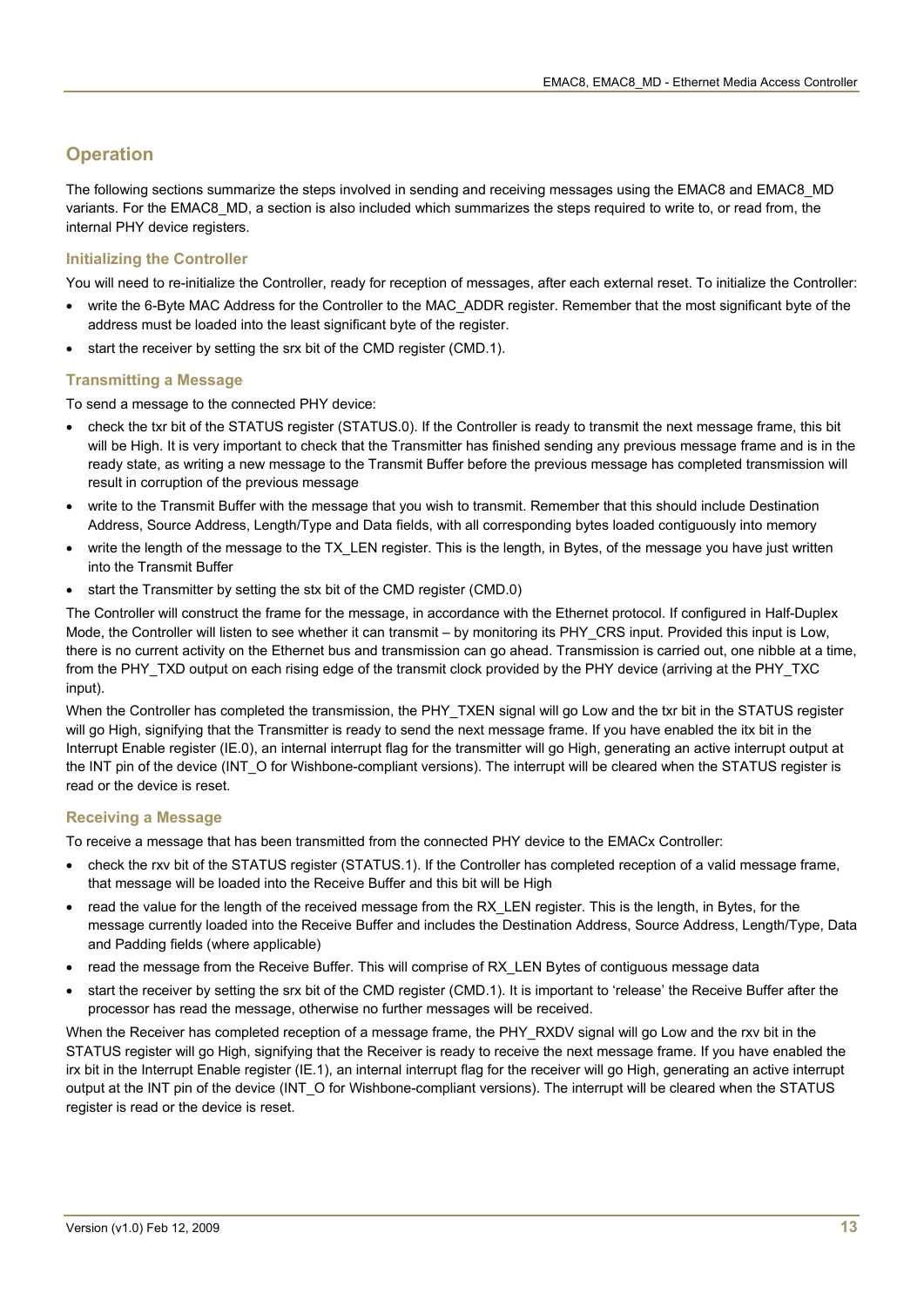### **Operation**

The following sections summarize the steps involved in sending and receiving messages using the EMAC8 and EMAC8\_MD variants. For the EMAC8\_MD, a section is also included which summarizes the steps required to write to, or read from, the internal PHY device registers.

### **Initializing the Controller**

You will need to re-initialize the Controller, ready for reception of messages, after each external reset. To initialize the Controller:

- write the 6-Byte MAC Address for the Controller to the MAC ADDR register. Remember that the most significant byte of the address must be loaded into the least significant byte of the register.
- start the receiver by setting the srx bit of the CMD register (CMD.1).

#### **Transmitting a Message**

To send a message to the connected PHY device:

- check the txr bit of the STATUS register (STATUS.0). If the Controller is ready to transmit the next message frame, this bit will be High. It is very important to check that the Transmitter has finished sending any previous message frame and is in the ready state, as writing a new message to the Transmit Buffer before the previous message has completed transmission will result in corruption of the previous message
- write to the Transmit Buffer with the message that you wish to transmit. Remember that this should include Destination Address, Source Address, Length/Type and Data fields, with all corresponding bytes loaded contiguously into memory
- write the length of the message to the TX\_LEN register. This is the length, in Bytes, of the message you have just written into the Transmit Buffer
- start the Transmitter by setting the stx bit of the CMD register (CMD.0)

The Controller will construct the frame for the message, in accordance with the Ethernet protocol. If configured in Half-Duplex Mode, the Controller will listen to see whether it can transmit – by monitoring its PHY\_CRS input. Provided this input is Low, there is no current activity on the Ethernet bus and transmission can go ahead. Transmission is carried out, one nibble at a time, from the PHY\_TXD output on each rising edge of the transmit clock provided by the PHY device (arriving at the PHY\_TXC input).

When the Controller has completed the transmission, the PHY\_TXEN signal will go Low and the txr bit in the STATUS register will go High, signifying that the Transmitter is ready to send the next message frame. If you have enabled the itx bit in the Interrupt Enable register (IE.0), an internal interrupt flag for the transmitter will go High, generating an active interrupt output at the INT pin of the device (INT\_O for Wishbone-compliant versions). The interrupt will be cleared when the STATUS register is read or the device is reset.

#### **Receiving a Message**

To receive a message that has been transmitted from the connected PHY device to the EMACx Controller:

- check the rxv bit of the STATUS register (STATUS.1). If the Controller has completed reception of a valid message frame, that message will be loaded into the Receive Buffer and this bit will be High
- read the value for the length of the received message from the RX\_LEN register. This is the length, in Bytes, for the message currently loaded into the Receive Buffer and includes the Destination Address, Source Address, Length/Type, Data and Padding fields (where applicable)
- read the message from the Receive Buffer. This will comprise of RX\_LEN Bytes of contiguous message data
- start the receiver by setting the srx bit of the CMD register (CMD.1). It is important to 'release' the Receive Buffer after the processor has read the message, otherwise no further messages will be received.

When the Receiver has completed reception of a message frame, the PHY\_RXDV signal will go Low and the rxv bit in the STATUS register will go High, signifying that the Receiver is ready to receive the next message frame. If you have enabled the irx bit in the Interrupt Enable register (IE.1), an internal interrupt flag for the receiver will go High, generating an active interrupt output at the INT pin of the device (INT O for Wishbone-compliant versions). The interrupt will be cleared when the STATUS register is read or the device is reset.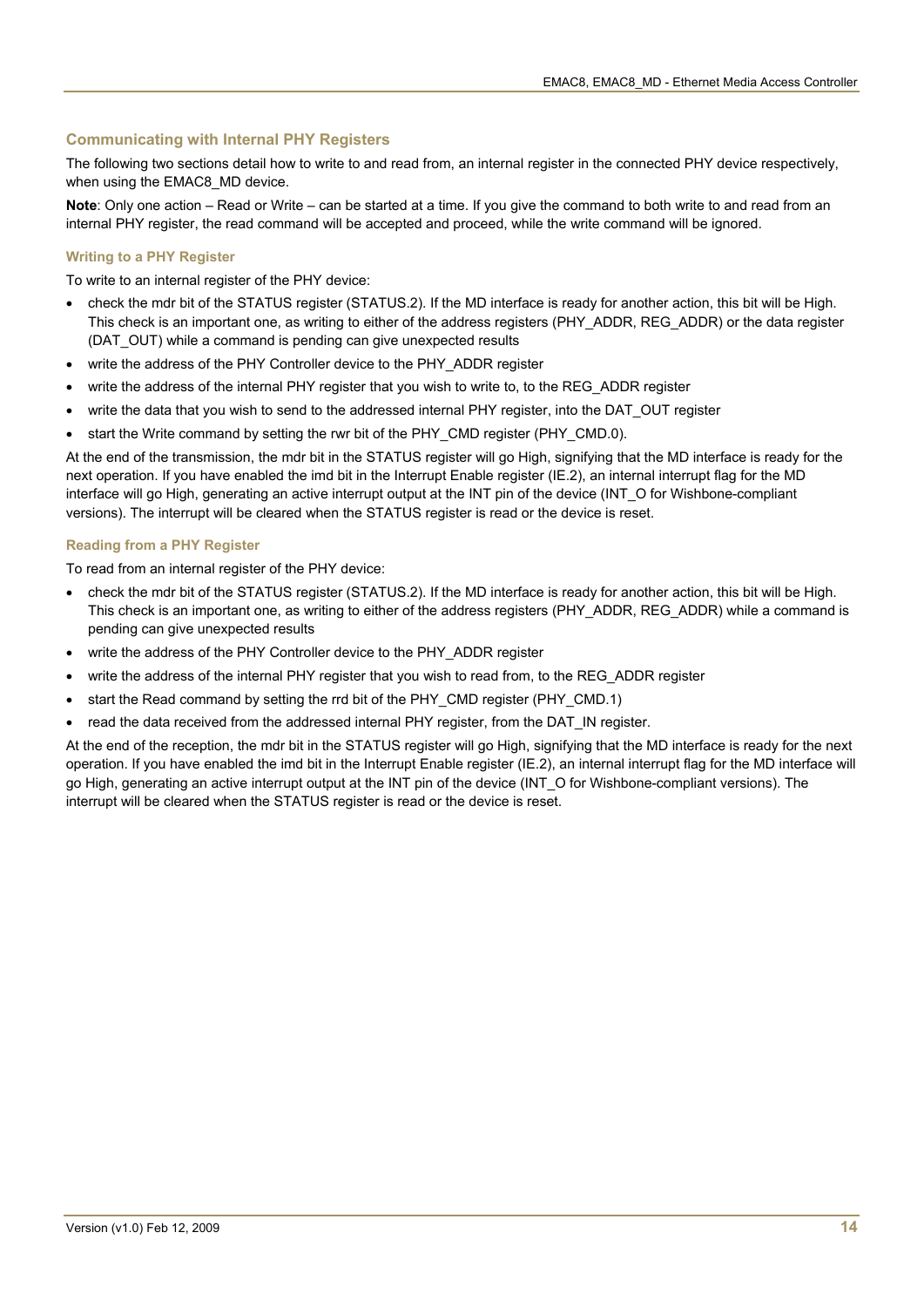#### **Communicating with Internal PHY Registers**

The following two sections detail how to write to and read from, an internal register in the connected PHY device respectively, when using the EMAC8 MD device.

**Note**: Only one action – Read or Write – can be started at a time. If you give the command to both write to and read from an internal PHY register, the read command will be accepted and proceed, while the write command will be ignored.

#### **Writing to a PHY Register**

To write to an internal register of the PHY device:

- check the mdr bit of the STATUS register (STATUS.2). If the MD interface is ready for another action, this bit will be High. This check is an important one, as writing to either of the address registers (PHY\_ADDR, REG\_ADDR) or the data register (DAT\_OUT) while a command is pending can give unexpected results
- write the address of the PHY Controller device to the PHY\_ADDR register
- write the address of the internal PHY register that you wish to write to, to the REG\_ADDR register
- write the data that you wish to send to the addressed internal PHY register, into the DAT\_OUT register
- start the Write command by setting the rwr bit of the PHY\_CMD register (PHY\_CMD.0).

At the end of the transmission, the mdr bit in the STATUS register will go High, signifying that the MD interface is ready for the next operation. If you have enabled the imd bit in the Interrupt Enable register (IE.2), an internal interrupt flag for the MD interface will go High, generating an active interrupt output at the INT pin of the device (INT\_O for Wishbone-compliant versions). The interrupt will be cleared when the STATUS register is read or the device is reset.

#### **Reading from a PHY Register**

To read from an internal register of the PHY device:

- check the mdr bit of the STATUS register (STATUS.2). If the MD interface is ready for another action, this bit will be High. This check is an important one, as writing to either of the address registers (PHY\_ADDR, REG\_ADDR) while a command is pending can give unexpected results
- write the address of the PHY Controller device to the PHY\_ADDR register
- write the address of the internal PHY register that you wish to read from, to the REG\_ADDR register
- start the Read command by setting the rrd bit of the PHY\_CMD register (PHY\_CMD.1)
- read the data received from the addressed internal PHY register, from the DAT\_IN register.

At the end of the reception, the mdr bit in the STATUS register will go High, signifying that the MD interface is ready for the next operation. If you have enabled the imd bit in the Interrupt Enable register (IE.2), an internal interrupt flag for the MD interface will go High, generating an active interrupt output at the INT pin of the device (INT\_O for Wishbone-compliant versions). The interrupt will be cleared when the STATUS register is read or the device is reset.